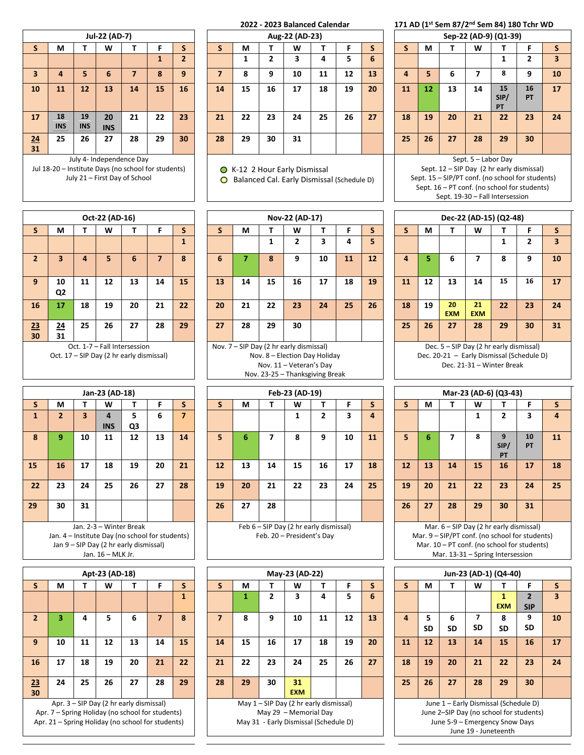|          |           |                                                                        | Jul-22 (AD-7)    |                          |              |                |  |  |  |  |  |  |  |  |  |
|----------|-----------|------------------------------------------------------------------------|------------------|--------------------------|--------------|----------------|--|--|--|--|--|--|--|--|--|
| S        | М         | т                                                                      | W                | т                        | F            | S              |  |  |  |  |  |  |  |  |  |
|          |           |                                                                        |                  |                          | $\mathbf{1}$ | $\overline{2}$ |  |  |  |  |  |  |  |  |  |
| 3        | 4         | 9<br>6<br>8<br>5<br>$\overline{7}$<br>16<br>12<br>11<br>14<br>13<br>15 |                  |                          |              |                |  |  |  |  |  |  |  |  |  |
| 10       |           |                                                                        |                  |                          |              |                |  |  |  |  |  |  |  |  |  |
| 17       | 18<br>INS | 19<br>INS                                                              | 20<br><b>INS</b> | 21                       | 22           | 23             |  |  |  |  |  |  |  |  |  |
| 24<br>31 | 25        | 26                                                                     | 27               | 28                       | 29           | 30             |  |  |  |  |  |  |  |  |  |
|          |           |                                                                        |                  | July 4- Independence Day |              |                |  |  |  |  |  |  |  |  |  |

Jul 18-20 – Institute Days (no school for students) July 21 – First Day of School

|                 |            |                  |                      |    |    |    |    |    |    | 2022 - 2023 Balanced Calendar |    |    |    |    |    |    |    |                       | 171 AD (1st Sem 87/2nd Sem 84) 180 Tchr WD |              |
|-----------------|------------|------------------|----------------------|----|----|----|----|----|----|-------------------------------|----|----|----|----|----|----|----|-----------------------|--------------------------------------------|--------------|
|                 |            |                  | Jul-22 (AD-7)        |    |    |    |    |    |    | Aug-22 (AD-23)                |    |    |    |    |    |    |    | Sep-22 (AD-9) (Q1-39) |                                            |              |
| S.              | М          |                  | W                    |    |    | S  | S  | М  |    | W                             |    |    | S  |    | М  |    | W  |                       | F                                          | <sub>S</sub> |
|                 |            |                  |                      |    | 1  |    |    |    |    | 3                             | 4  | 5  | 6  |    |    |    |    |                       | 2                                          | 3            |
| $\overline{3}$  | 4          | 5                | 6                    |    | 8  | 9  | 7  | 8  | 9  | 10                            | 11 | 12 | 13 | 4  | 5. | 6  |    | 8                     | 9                                          | 10           |
| 10              | 11         | 12               | 13                   | 14 | 15 | 16 | 14 | 15 | 16 | 17                            | 18 | 19 | 20 | 11 | 12 | 13 | 14 | 15<br>SIP/<br>PT      | 16<br><b>PT</b>                            | 17           |
| 17              | 18<br>INS. | 19<br><b>INS</b> | $20 -$<br><b>INS</b> | 21 | 22 | 23 | 21 | 22 | 23 | 24                            | 25 | 26 | 27 | 18 | 19 | 20 | 21 | 22                    | 23                                         | 24           |
| <u>24</u><br>31 | 25         | 26               | 27                   | 28 | 29 | 30 | 28 | 29 | 30 | 31                            |    |    |    | 25 | 26 | 27 | 28 | 29                    | 30                                         |              |

● K-12 2 Hour Early Dismissal

Balanced Cal. Early Dismissal (Schedule D)

 $Nov-22 (AD-17)$ 

|                |                                                         |    | Oct-22 (AD-16) |                                                                          |    |    |  |  |  |  |  |  |  |  |  |
|----------------|---------------------------------------------------------|----|----------------|--------------------------------------------------------------------------|----|----|--|--|--|--|--|--|--|--|--|
| $\mathsf{s}$   | М                                                       | Т  | w              | т                                                                        | F  | S  |  |  |  |  |  |  |  |  |  |
|                | $\mathbf{1}$<br>3<br>5<br>6<br>8<br>4<br>$\overline{7}$ |    |                |                                                                          |    |    |  |  |  |  |  |  |  |  |  |
| $\overline{2}$ |                                                         |    |                |                                                                          |    |    |  |  |  |  |  |  |  |  |  |
| 9              | 10<br>Q <sub>2</sub>                                    | 11 | 12             | 13                                                                       | 14 | 15 |  |  |  |  |  |  |  |  |  |
| 16             | 17                                                      | 18 | 19             | 20                                                                       | 21 | 22 |  |  |  |  |  |  |  |  |  |
| 23<br>30       | 24<br>31                                                | 25 | 26             | 27                                                                       | 28 | 29 |  |  |  |  |  |  |  |  |  |
|                |                                                         |    |                | Oct. 1-7 - Fall Intersession<br>Oct. 17 - SIP Day (2 hr early dismissal) |    |    |  |  |  |  |  |  |  |  |  |

| S.              | М                     |    | W  |                                         |    | S  | S  | М                                       |    | W                          |    |    | э  |    | М         |                  | W                                       |    | F                            |    |
|-----------------|-----------------------|----|----|-----------------------------------------|----|----|----|-----------------------------------------|----|----------------------------|----|----|----|----|-----------|------------------|-----------------------------------------|----|------------------------------|----|
|                 |                       |    |    |                                         |    |    |    |                                         |    |                            |    | 4  | 5  |    |           |                  |                                         |    |                              | 3  |
| $\overline{2}$  | 3                     |    |    | 6                                       |    | 8  | 6  |                                         | 8  | 9                          | 10 | 11 | 12 |    | 5.        | 6                |                                         | 8  | 9                            | 10 |
| 9               | 10<br>Q <sub>2</sub>  | 11 | 12 | 13                                      | 14 | 15 | 13 | 14                                      | 15 | 16                         | 17 | 18 | 19 | 11 | 12        | 13               | 14                                      | 15 | 16                           | 17 |
| 16              | 17                    | 18 | 19 | 20                                      | 21 | 22 | 20 | 21                                      | 22 | 23                         | 24 | 25 | 26 | 18 | 19        | 20<br><b>EXM</b> | 21<br><b>EXM</b>                        | 22 | 23                           | 24 |
| <u>23</u><br>30 | $\overline{24}$<br>31 | 25 | 26 | 27                                      | 28 | 29 | 27 | 28                                      | 29 | 30                         |    |    |    | 25 | 26        | 27               | 28                                      | 29 | 30                           | 31 |
|                 |                       |    |    | Oct. 1-7 - Fall Intersession            |    |    |    | Nov. 7 - SIP Day (2 hr early dismissal) |    |                            |    |    |    |    |           |                  | Dec. 5 - SIP Day (2 hr early dismissal) |    |                              |    |
|                 |                       |    |    | $Det 17$ CID Day (2 by carly diamicsal) |    |    |    |                                         |    | Nou 0 Floation Doutlelidou |    |    |    |    | Dec 20.21 |                  |                                         |    | Farly Dismissal (Cahadula D) |    |

**st Sem 87/2 nd Sem 84) 180 Tchr WD**

|              |                                                                 |            |                     | Sep-22 (AD-9) (Q1-39)                     |                |                         |  |  |  |  |  |  |  |  |  |
|--------------|-----------------------------------------------------------------|------------|---------------------|-------------------------------------------|----------------|-------------------------|--|--|--|--|--|--|--|--|--|
| $\mathsf{s}$ | М                                                               | т          | W                   | т                                         | F              | S                       |  |  |  |  |  |  |  |  |  |
|              |                                                                 |            |                     | 1                                         | $\overline{2}$ | $\overline{\mathbf{3}}$ |  |  |  |  |  |  |  |  |  |
| 4            | 8<br>6<br>5<br>10<br>9<br>7<br>15<br>12<br>16<br>17<br>13<br>14 |            |                     |                                           |                |                         |  |  |  |  |  |  |  |  |  |
| 11           |                                                                 |            |                     |                                           |                |                         |  |  |  |  |  |  |  |  |  |
|              |                                                                 | SIP/<br>PT |                     |                                           |                |                         |  |  |  |  |  |  |  |  |  |
|              |                                                                 |            |                     | РT                                        |                |                         |  |  |  |  |  |  |  |  |  |
| 18           | 19                                                              | 20         | 21                  | 22                                        | 23             | 24                      |  |  |  |  |  |  |  |  |  |
|              |                                                                 |            |                     |                                           |                |                         |  |  |  |  |  |  |  |  |  |
| 25           | 26                                                              | 27         | 28                  | 29                                        | 30             |                         |  |  |  |  |  |  |  |  |  |
|              |                                                                 |            |                     |                                           |                |                         |  |  |  |  |  |  |  |  |  |
|              |                                                                 |            | Sept. 5 - Labor Day |                                           |                |                         |  |  |  |  |  |  |  |  |  |
|              |                                                                 |            |                     | Sept. 12 - SIP Day (2 hr early dismissal) |                |                         |  |  |  |  |  |  |  |  |  |

Sept. 15 – SIP/PT conf. (no school for students) Sept. 16 – PT conf. (no school for students) Sept. 19-30 – Fall Intersession

|    | Dec-22 (AD-15) (Q2-48)<br>S<br>W<br>F<br>М<br>S<br>т<br>т<br>$\overline{2}$<br>3<br>1<br>6<br>8<br>4<br>7<br>9<br>10<br>5<br>15<br>16<br>12<br>13<br>14<br>17 |                  |                  |    |    |    |  |  |  |  |  |  |  |  |  |  |
|----|---------------------------------------------------------------------------------------------------------------------------------------------------------------|------------------|------------------|----|----|----|--|--|--|--|--|--|--|--|--|--|
|    |                                                                                                                                                               |                  |                  |    |    |    |  |  |  |  |  |  |  |  |  |  |
|    |                                                                                                                                                               |                  |                  |    |    |    |  |  |  |  |  |  |  |  |  |  |
|    |                                                                                                                                                               |                  |                  |    |    |    |  |  |  |  |  |  |  |  |  |  |
| 11 |                                                                                                                                                               |                  |                  |    |    |    |  |  |  |  |  |  |  |  |  |  |
| 18 | 19                                                                                                                                                            | 20<br><b>EXM</b> | 21<br><b>EXM</b> | 22 | 23 | 24 |  |  |  |  |  |  |  |  |  |  |
| 25 | 26                                                                                                                                                            | 27               | 28               | 29 | 30 | 31 |  |  |  |  |  |  |  |  |  |  |

Dec. 5 – SIP Day (2 hr early dismissal) Dec. 20-21 – Early Dismissal (Schedule D) Dec. 21-31 – Winter Break

|                     |              |    | Jan-23 (AD-18)                                  |    |    |    |    |    |    | Feb-23 (AD-19)                         |    |    |    |    |    |    |    | Mar-23 (AD-6) (Q3-43)                          |    |    |
|---------------------|--------------|----|-------------------------------------------------|----|----|----|----|----|----|----------------------------------------|----|----|----|----|----|----|----|------------------------------------------------|----|----|
|                     | М            |    | W                                               |    |    | S  |    | М  |    | W                                      |    |    | S  | S. | М  |    | W  |                                                |    | s  |
|                     | $\mathbf{2}$ | 3  | 4                                               | 5. | 6  | 7  |    |    |    |                                        | 2  | 3  | 4  |    |    |    |    | 2                                              | 3  | 4  |
|                     |              |    | <b>INS</b>                                      | Q3 |    |    |    |    |    |                                        |    |    |    |    |    |    |    |                                                |    |    |
| o                   | 9            | 10 | 11                                              | 12 | 13 | 14 | 5  | 6  |    | 8                                      | 9  | 10 | 11 | 5. | 6  |    | 8  | ٩                                              | 10 | 11 |
|                     |              |    |                                                 |    |    |    |    |    |    |                                        |    |    |    |    |    |    |    | SIP/                                           | PT |    |
|                     |              |    |                                                 |    |    |    |    |    |    |                                        |    |    |    |    |    |    |    | PT                                             |    |    |
|                     | 16           | 17 | 18                                              | 19 | 20 | 21 | 12 | 13 | 14 | 15                                     | 16 | 17 | 18 | 12 | 13 | 14 | 15 | 16                                             | 17 | 18 |
|                     |              |    |                                                 |    |    |    |    |    |    |                                        |    |    |    |    |    |    |    |                                                |    |    |
| $2 \nightharpoonup$ | 23           | 24 | 25                                              | 26 | 27 | 28 | 19 | 20 | 21 | 22                                     | 23 | 24 | 25 | 19 | 20 | 21 | 22 | 23                                             | 24 | 25 |
|                     |              |    |                                                 |    |    |    |    |    |    |                                        |    |    |    |    |    |    |    |                                                |    |    |
|                     | 30           | 31 |                                                 |    |    |    | 26 | 27 | 28 |                                        |    |    |    | 26 | 27 | 28 | 29 | 30                                             | 31 |    |
|                     |              |    |                                                 |    |    |    |    |    |    |                                        |    |    |    |    |    |    |    |                                                |    |    |
|                     |              |    | Jan. 2-3 - Winter Break                         |    |    |    |    |    |    | Feb 6 - SIP Day (2 hr early dismissal) |    |    |    |    |    |    |    | Mar. $6 -$ SIP Day (2 hr early dismissal)      |    |    |
|                     |              |    | Jan. 4 – Institute Day (no school for students) |    |    |    |    |    |    | Feb. 20 - President's Day              |    |    |    |    |    |    |    | Mar. 9 - SIP/PT conf. (no school for students) |    |    |
|                     |              |    | Jan 9 - SIP Day (2 hr early dismissal)          |    |    |    |    |    |    |                                        |    |    |    |    |    |    |    | Mar. 10 - PT conf. (no school for students)    |    |    |
|                     |              |    |                                                 |    |    |    |    |    |    |                                        |    |    |    |    |    |    |    |                                                |    |    |

Mar. 13-31 – Spring Intersession

|    |                                                                                                             |    | Jun-23 (AD-1) (Q4-40)                   |            |     |                         |  |  |  |  |  |  |  |  |  |
|----|-------------------------------------------------------------------------------------------------------------|----|-----------------------------------------|------------|-----|-------------------------|--|--|--|--|--|--|--|--|--|
| S  | М                                                                                                           | т  | w                                       | т          | F   | S                       |  |  |  |  |  |  |  |  |  |
|    |                                                                                                             |    |                                         | 1          | 2   | $\overline{\mathbf{3}}$ |  |  |  |  |  |  |  |  |  |
|    |                                                                                                             |    |                                         | <b>EXM</b> | SIP |                         |  |  |  |  |  |  |  |  |  |
| 4  | $\overline{\mathbf{z}}$<br>9<br>8<br>5<br>6<br>10<br><b>SD</b><br><b>SD</b><br><b>SD</b><br><b>SD</b><br>SD |    |                                         |            |     |                         |  |  |  |  |  |  |  |  |  |
|    |                                                                                                             |    |                                         |            |     |                         |  |  |  |  |  |  |  |  |  |
| 11 | 12<br>13<br>14<br>15<br>16<br>17                                                                            |    |                                         |            |     |                         |  |  |  |  |  |  |  |  |  |
|    |                                                                                                             |    |                                         |            |     |                         |  |  |  |  |  |  |  |  |  |
| 18 | 19                                                                                                          | 20 | 21                                      | 22         | 23  | 24                      |  |  |  |  |  |  |  |  |  |
|    |                                                                                                             |    |                                         |            |     |                         |  |  |  |  |  |  |  |  |  |
| 25 | 26                                                                                                          | 27 | 28                                      | 29         | 30  |                         |  |  |  |  |  |  |  |  |  |
|    |                                                                                                             |    |                                         |            |     |                         |  |  |  |  |  |  |  |  |  |
|    |                                                                                                             |    | June 1 - Early Dismissal (Schedule D)   |            |     |                         |  |  |  |  |  |  |  |  |  |
|    |                                                                                                             |    | June 2-SIP Day (no school for students) |            |     |                         |  |  |  |  |  |  |  |  |  |
|    |                                                                                                             |    | June 5-9 - Emergency Snow Days          |            |     |                         |  |  |  |  |  |  |  |  |  |
|    |                                                                                                             |    | June 19 - Juneteenth                    |            |     |                         |  |  |  |  |  |  |  |  |  |

|    |                |    | Jan-23 (AD-18)    |                                        |                                                 |                |    |    |    | <b>FED-23 (AD-19)</b>                  |                |    |    |              |    |                                | iviar-23 (AD-6) (Q. |                      |
|----|----------------|----|-------------------|----------------------------------------|-------------------------------------------------|----------------|----|----|----|----------------------------------------|----------------|----|----|--------------|----|--------------------------------|---------------------|----------------------|
| S. | М              |    | W                 |                                        | F                                               | S.             | S  | М  |    | w                                      |                | F  | S  | $\mathsf{s}$ | М  |                                | W                   |                      |
| 1  | $\overline{2}$ | 3  | <b>INS</b>        | 5<br>Q3                                | 6                                               | $\overline{ }$ |    |    |    | 1                                      | $\overline{2}$ | 3  | 4  |              |    |                                | 1                   |                      |
| 8  | 9              | 10 | 11                | 12                                     | 13                                              | 14             | 5. | 6  | 7  | 8                                      | 9              | 10 | 11 | 5            | 6  |                                | 8                   | 9<br><b>SIF</b><br>P |
| 15 | 16             | 17 | 18                | 19                                     | 20                                              | 21             | 12 | 13 | 14 | 15                                     | 18             | 12 | 13 | 14           | 15 | $\mathbf{1}$                   |                     |                      |
| 22 | 23             | 24 | 25                | 26                                     | 27                                              | 28             | 19 | 20 | 21 | 22                                     | 23             | 24 | 25 | 19           | 20 | 21                             | 22                  | 2                    |
| 29 | 30             | 31 |                   |                                        |                                                 |                | 26 | 27 | 28 |                                        |                |    |    | 26           | 27 | 28                             | 29                  | 3 <sub>0</sub>       |
|    |                |    |                   | Jan. 2-3 - Winter Break                |                                                 |                |    |    |    | Feb 6 - SIP Day (2 hr early dismissal) |                |    |    |              |    | Mar. $6 -$ SIP Day (2 hr earl  |                     |                      |
|    |                |    |                   |                                        | Jan. 4 - Institute Day (no school for students) |                |    |    |    | Feb. 20 - President's Day              |                |    |    |              |    | Mar. 9 - SIP/PT conf. (no scho |                     |                      |
|    |                |    |                   | Jan 9 - SIP Day (2 hr early dismissal) |                                                 |                |    |    |    |                                        |                |    |    |              |    | Mar. 10 - PT conf. (no schoo   |                     |                      |
|    |                |    | Jan. 16 - MLK Jr. |                                        |                                                 |                |    |    |    |                                        |                |    |    |              |    | Mar. $13-31$ - Spring Inte     |                     |                      |

|                |    |    | Apt-23 (AD-18) |    |                |    | May-23 (A |    |                |                  |
|----------------|----|----|----------------|----|----------------|----|-----------|----|----------------|------------------|
| S              | М  | Τ  | W              |    | F              | S  | S         | М  |                | W                |
|                |    |    |                |    |                | 1  |           | 1  | $\overline{2}$ | 3                |
| $\overline{2}$ | 3  | 4  | 5              | 6  | $\overline{7}$ | 8  | 7         | 8  | 9              | 10               |
| 9              | 10 | 11 | 12             | 13 | 14             | 15 | 14        | 15 | 16             | 17               |
| 16             | 17 | 18 | 19             | 20 | 21             | 22 | 21        | 22 | 23             | 24               |
| 23<br>30       | 24 | 25 | 26             | 27 | 28             | 29 | 28        | 29 | 30             | 31<br><b>EXN</b> |

Apr. 3 – SIP Day (2 hr early dismissal) Apr. 7 – Spring Holiday (no school for students) Apr. 21 – Spring Holiday (no school for students)

|     | 1-7 - Fall Intersession<br>IP Day (2 hr early dismissal) |         |    |    |  |   | Nov. 7 - SIP Day (2 hr early dismissal)<br>Nov. 8 - Election Day Holiday<br>Nov. 11 - Veteran's Day<br>Nov. 23-25 - Thanksgiving Break |   |    |    |  |   | Dec. 5 - SIP Day (2 hr early disn<br>Dec. 20-21 - Early Dismissal (Sch |   | Dec. 21-31 - Winter Break |  |
|-----|----------------------------------------------------------|---------|----|----|--|---|----------------------------------------------------------------------------------------------------------------------------------------|---|----|----|--|---|------------------------------------------------------------------------|---|---------------------------|--|
|     | Jan-23 (AD-18)                                           |         |    |    |  |   | Feb-23 (AD-19)                                                                                                                         |   |    |    |  |   | Mar-23 (AD-6) (Q3-43)                                                  |   |                           |  |
|     | w                                                        |         |    |    |  | М | w                                                                                                                                      |   |    |    |  | М |                                                                        | w |                           |  |
| 3   | INS                                                      | 5<br>Q3 | 6  |    |  |   |                                                                                                                                        |   |    | 4  |  |   |                                                                        |   |                           |  |
| LO. | 11                                                       | 12      | 13 | 14 |  | 6 | 8                                                                                                                                      | 9 | 10 | 11 |  | 6 |                                                                        | 8 | SIP/<br>PТ                |  |

|    |                                                 |    |    |                         |    |    |                                        |    |    |    |                                                                     |    |    |    |    |    |    |    |    | SIP/<br>PT                                                                                  | <b>PT</b> |    |
|----|-------------------------------------------------|----|----|-------------------------|----|----|----------------------------------------|----|----|----|---------------------------------------------------------------------|----|----|----|----|----|----|----|----|---------------------------------------------------------------------------------------------|-----------|----|
| 15 | 16                                              | 17 | 18 | 19                      | 20 | 21 |                                        | 12 | 13 | 14 | 15                                                                  | 16 | 17 | 18 |    | 12 | 13 | 14 | 15 | 16                                                                                          | 17        | 18 |
| 22 | 23                                              | 24 | 25 | 26                      | 27 | 28 | 25<br>20<br>22<br>23<br>19<br>21<br>24 |    |    |    |                                                                     |    |    |    | 19 | 20 | 21 | 22 | 23 | 24                                                                                          | 25        |    |
| 29 | 30                                              | 31 |    |                         |    |    |                                        | 26 | 27 | 28 |                                                                     |    |    |    |    | 26 | 27 | 28 | 29 | 30                                                                                          | 31        |    |
|    | Jan. 4 - Institute Day (no school for students) |    |    | Jan. 2-3 - Winter Break |    |    |                                        |    |    |    | Feb 6 - SIP Day (2 hr early dismissal)<br>Feb. 20 - President's Day |    |    |    |    |    |    |    |    | Mar. $6 -$ SIP Day (2 hr early dismissal)<br>Mar. 9 - SIP/PT conf. (no school for students) |           |    |

**Apt-23 (AD-18) May-23 (AD-22) Jun-23 (AD-1) (Q4-40) S M T W T F S S M T W T F S S M T W T F S 1 1 2 3 4 5 6 1 2 3 4 5 6 7 8 7 8 9 10 11 12 13 4 5 9 10 11 12 13 14 15 14 15 16 17 18 19 20 11 12 13 14 15 16 17 16 17 18 19 20 21 22 21 22 23 24 25 26 27 18 19 20 21 22 23 24 EXM** May 1 – SIP Day (2 hr early dismissal)

May 29 – Memorial Day May 31 - Early Dismissal (Schedule D)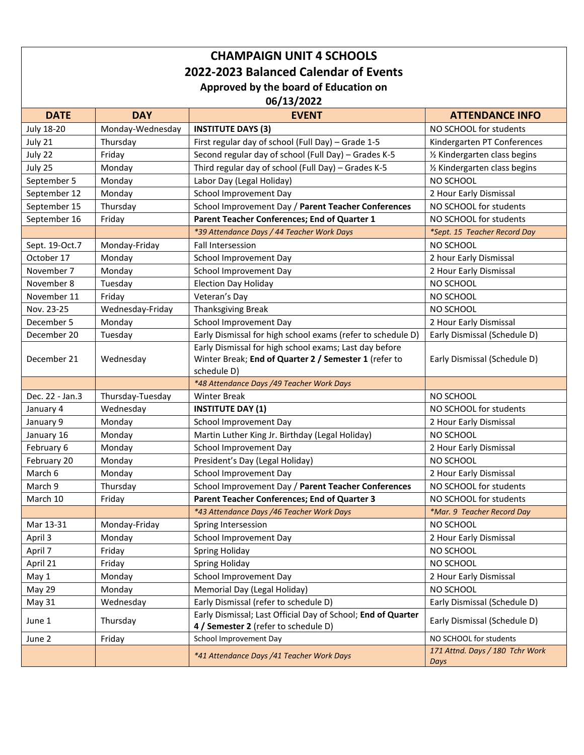## **CHAMPAIGN UNIT 4 SCHOOLS 2022-2023 Balanced Calendar of Events Approved by the board of Education on**

**06/13/2022**

| <b>DATE</b>       | <b>DAY</b>       | <b>EVENT</b>                                                          | <b>ATTENDANCE INFO</b>          |  |
|-------------------|------------------|-----------------------------------------------------------------------|---------------------------------|--|
| <b>July 18-20</b> | Monday-Wednesday | <b>INSTITUTE DAYS (3)</b>                                             | NO SCHOOL for students          |  |
| July 21           | Thursday         | First regular day of school (Full Day) - Grade 1-5                    | Kindergarten PT Conferences     |  |
| July 22           | Friday           | Second regular day of school (Full Day) - Grades K-5                  | 1/2 Kindergarten class begins   |  |
| July 25           | Monday           | Third regular day of school (Full Day) - Grades K-5                   | 1/2 Kindergarten class begins   |  |
| September 5       | Monday           | Labor Day (Legal Holiday)                                             | NO SCHOOL                       |  |
| September 12      | Monday           | School Improvement Day                                                | 2 Hour Early Dismissal          |  |
| September 15      | Thursday         | School Improvement Day / Parent Teacher Conferences                   | NO SCHOOL for students          |  |
| September 16      | Friday           | Parent Teacher Conferences; End of Quarter 1                          | NO SCHOOL for students          |  |
|                   |                  | *39 Attendance Days / 44 Teacher Work Days                            | *Sept. 15 Teacher Record Day    |  |
| Sept. 19-Oct.7    | Monday-Friday    | Fall Intersession                                                     | NO SCHOOL                       |  |
| October 17        | Monday           | School Improvement Day                                                | 2 hour Early Dismissal          |  |
| November 7        | Monday           | School Improvement Day                                                | 2 Hour Early Dismissal          |  |
| November 8        | Tuesday          | <b>Election Day Holiday</b>                                           | NO SCHOOL                       |  |
| November 11       | Friday           | Veteran's Day                                                         | NO SCHOOL                       |  |
| Nov. 23-25        | Wednesday-Friday | Thanksgiving Break                                                    | NO SCHOOL                       |  |
| December 5        | Monday           | School Improvement Day                                                | 2 Hour Early Dismissal          |  |
| December 20       | Tuesday          | Early Dismissal for high school exams (refer to schedule D)           | Early Dismissal (Schedule D)    |  |
|                   |                  | Early Dismissal for high school exams; Last day before                |                                 |  |
| December 21       | Wednesday        | Winter Break; End of Quarter 2 / Semester 1 (refer to                 | Early Dismissal (Schedule D)    |  |
|                   |                  | schedule D)                                                           |                                 |  |
|                   |                  | *48 Attendance Days /49 Teacher Work Days                             |                                 |  |
| Dec. 22 - Jan.3   | Thursday-Tuesday | <b>Winter Break</b>                                                   | NO SCHOOL                       |  |
| January 4         | Wednesday        | <b>INSTITUTE DAY (1)</b>                                              | NO SCHOOL for students          |  |
| January 9         | Monday           | School Improvement Day                                                | 2 Hour Early Dismissal          |  |
| January 16        | Monday           | Martin Luther King Jr. Birthday (Legal Holiday)                       | NO SCHOOL                       |  |
| February 6        | Monday           | School Improvement Day                                                | 2 Hour Early Dismissal          |  |
| February 20       | Monday           | President's Day (Legal Holiday)                                       | NO SCHOOL                       |  |
| March 6           | Monday           | School Improvement Day                                                | 2 Hour Early Dismissal          |  |
| March 9           | Thursday         | School Improvement Day / Parent Teacher Conferences                   | NO SCHOOL for students          |  |
| March 10          | Friday           | <b>Parent Teacher Conferences; End of Quarter 3</b>                   | NO SCHOOL for students          |  |
|                   |                  | *43 Attendance Days /46 Teacher Work Days                             | *Mar. 9 Teacher Record Day      |  |
| Mar 13-31         | Monday-Friday    | Spring Intersession                                                   | NO SCHOOL                       |  |
| April 3           | Monday           | School Improvement Day                                                | 2 Hour Early Dismissal          |  |
| April 7           | Friday           | <b>Spring Holiday</b>                                                 | NO SCHOOL                       |  |
| April 21          | Friday           | <b>Spring Holiday</b>                                                 | NO SCHOOL                       |  |
| May 1             | Monday           | School Improvement Day<br>2 Hour Early Dismissal                      |                                 |  |
| May 29            | Monday           | Memorial Day (Legal Holiday)<br>NO SCHOOL                             |                                 |  |
| May 31            | Wednesday        | Early Dismissal (refer to schedule D)<br>Early Dismissal (Schedule D) |                                 |  |
| June 1            | Thursday         | Early Dismissal; Last Official Day of School; End of Quarter          | Early Dismissal (Schedule D)    |  |
|                   |                  | 4 / Semester 2 (refer to schedule D)                                  |                                 |  |
| June 2            | Friday           | School Improvement Day                                                | NO SCHOOL for students          |  |
|                   |                  | *41 Attendance Days /41 Teacher Work Days                             | 171 Attnd. Days / 180 Tchr Work |  |
|                   |                  |                                                                       | Days                            |  |